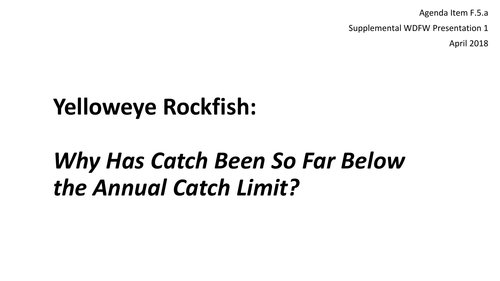Agenda Item F.5.a

Supplemental WDFW Presentation 1

April 2018

# **Yelloweye Rockfish:**

# *Why Has Catch Been So Far Below the Annual Catch Limit?*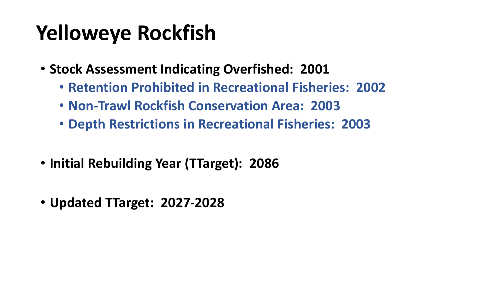# **Yelloweye Rockfish**

- **Stock Assessment Indicating Overfished: 2001**
	- **Retention Prohibited in Recreational Fisheries: 2002**
	- **Non-Trawl Rockfish Conservation Area: 2003**
	- **Depth Restrictions in Recreational Fisheries: 2003**
- **Initial Rebuilding Year (TTarget): 2086**
- **Updated TTarget: 2027-2028**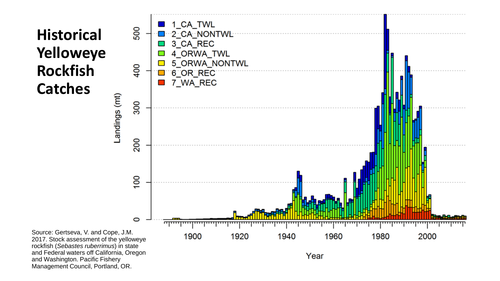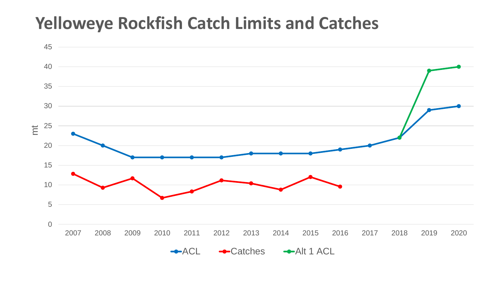#### **Yelloweye Rockfish Catch Limits and Catches**

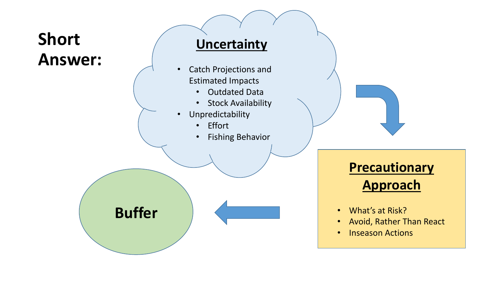### **Short Answer:**

#### **Uncertainty**

- Catch Projections and Estimated Impacts
	- Outdated Data
	- Stock Availability
- Unpredictability
	- Effort
	- Fishing Behavior



#### **Precautionary Approach**

- What's at Risk?
- Avoid, Rather Than React
- Inseason Actions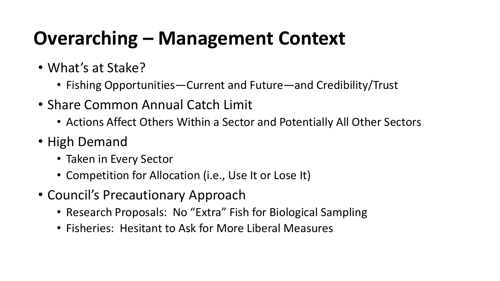## **Overarching – Management Context**

- What's at Stake?
	- Fishing Opportunities—Current and Future—and Credibility/Trust
- Share Common Annual Catch Limit
	- Actions Affect Others Within a Sector and Potentially All Other Sectors
- High Demand
	- Taken in Every Sector
	- Competition for Allocation (i.e., Use It or Lose It)
- Council's Precautionary Approach
	- Research Proposals: No "Extra" Fish for Biological Sampling
	- Fisheries: Hesitant to Ask for More Liberal Measures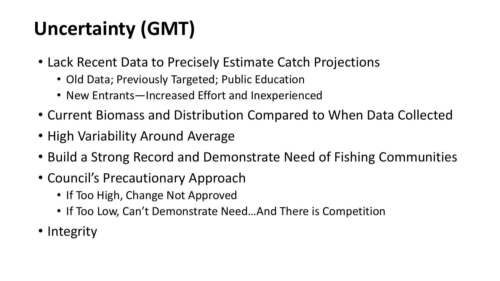# **Uncertainty (GMT)**

- Lack Recent Data to Precisely Estimate Catch Projections
	- Old Data; Previously Targeted; Public Education
	- New Entrants—Increased Effort and Inexperienced
- Current Biomass and Distribution Compared to When Data Collected
- High Variability Around Average
- Build a Strong Record and Demonstrate Need of Fishing Communities
- Council's Precautionary Approach
	- If Too High, Change Not Approved
	- If Too Low, Can't Demonstrate Need…And There is Competition
- Integrity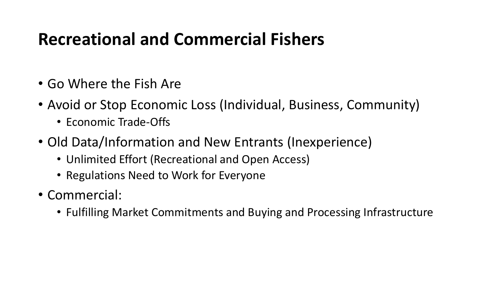### **Recreational and Commercial Fishers**

- Go Where the Fish Are
- Avoid or Stop Economic Loss (Individual, Business, Community)
	- Economic Trade-Offs
- Old Data/Information and New Entrants (Inexperience)
	- Unlimited Effort (Recreational and Open Access)
	- Regulations Need to Work for Everyone
- Commercial:
	- Fulfilling Market Commitments and Buying and Processing Infrastructure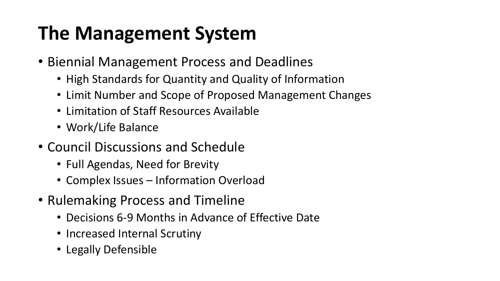## **The Management System**

- Biennial Management Process and Deadlines
	- High Standards for Quantity and Quality of Information
	- Limit Number and Scope of Proposed Management Changes
	- Limitation of Staff Resources Available
	- Work/Life Balance
- Council Discussions and Schedule
	- Full Agendas, Need for Brevity
	- Complex Issues Information Overload
- Rulemaking Process and Timeline
	- Decisions 6-9 Months in Advance of Effective Date
	- Increased Internal Scrutiny
	- Legally Defensible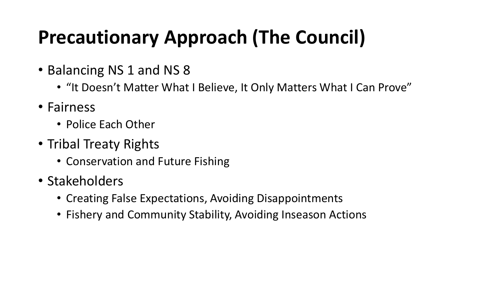## **Precautionary Approach (The Council)**

- Balancing NS 1 and NS 8
	- "It Doesn't Matter What I Believe, It Only Matters What I Can Prove"
- Fairness
	- Police Each Other
- Tribal Treaty Rights
	- Conservation and Future Fishing
- Stakeholders
	- Creating False Expectations, Avoiding Disappointments
	- Fishery and Community Stability, Avoiding Inseason Actions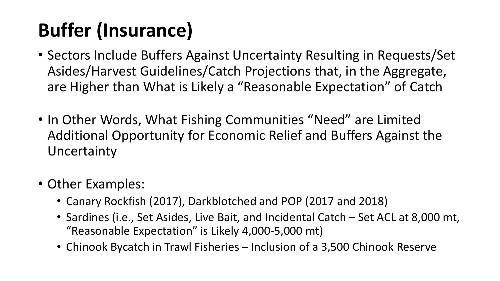# **Buffer (Insurance)**

- Sectors Include Buffers Against Uncertainty Resulting in Requests/Set Asides/Harvest Guidelines/Catch Projections that, in the Aggregate, are Higher than What is Likely a "Reasonable Expectation" of Catch
- In Other Words, What Fishing Communities "Need" are Limited Additional Opportunity for Economic Relief and Buffers Against the Uncertainty
- Other Examples:
	- Canary Rockfish (2017), Darkblotched and POP (2017 and 2018)
	- Sardines (i.e., Set Asides, Live Bait, and Incidental Catch Set ACL at 8,000 mt, "Reasonable Expectation" is Likely 4,000-5,000 mt)
	- Chinook Bycatch in Trawl Fisheries Inclusion of a 3,500 Chinook Reserve